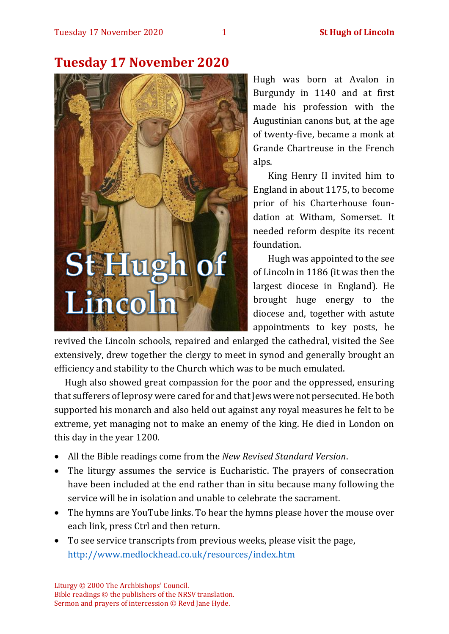

# **Tuesday 17 November 2020**

Hugh was born at Avalon in Burgundy in 1140 and at first made his profession with the Augustinian canons but, at the age of twenty-five, became a monk at Grande Chartreuse in the French alps.

King Henry II invited him to England in about 1175, to become prior of his Charterhouse foundation at Witham, Somerset. It needed reform despite its recent foundation.

Hugh was appointed to the see of Lincoln in 1186 (it was then the largest diocese in England). He brought huge energy to the diocese and, together with astute appointments to key posts, he

revived the Lincoln schools, repaired and enlarged the cathedral, visited the See extensively, drew together the clergy to meet in synod and generally brought an efficiency and stability to the Church which was to be much emulated.

Hugh also showed great compassion for the poor and the oppressed, ensuring that sufferers of leprosy were cared for and that Jews were not persecuted. He both supported his monarch and also held out against any royal measures he felt to be extreme, yet managing not to make an enemy of the king. He died in London on this day in the year 1200.

- All the Bible readings come from the *New Revised Standard Version*.
- The liturgy assumes the service is Eucharistic. The prayers of consecration have been included at the end rather than in situ because many following the service will be in isolation and unable to celebrate the sacrament.
- The hymns are YouTube links. To hear the hymns please hover the mouse over each link, press Ctrl and then return.
- To see service transcripts from previous weeks, please visit the page, <http://www.medlockhead.co.uk/resources/index.htm>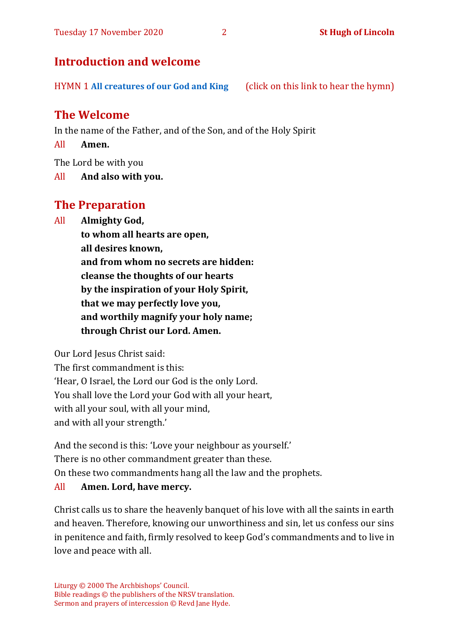# **Introduction and welcome**

HYMN 1 **[All creatures of our God and King](https://www.youtube.com/watch?v=0d3gO6qDLNA)** (click on this link to hear the hymn)

# **The Welcome**

In the name of the Father, and of the Son, and of the Holy Spirit

All **Amen.**

The Lord be with you

All **And also with you.**

# **The Preparation**

All **Almighty God,**

**to whom all hearts are open, all desires known, and from whom no secrets are hidden: cleanse the thoughts of our hearts by the inspiration of your Holy Spirit, that we may perfectly love you, and worthily magnify your holy name; through Christ our Lord. Amen.**

Our Lord Jesus Christ said:

The first commandment is this: 'Hear, O Israel, the Lord our God is the only Lord. You shall love the Lord your God with all your heart, with all your soul, with all your mind, and with all your strength.'

And the second is this: 'Love your neighbour as yourself.' There is no other commandment greater than these. On these two commandments hang all the law and the prophets.

#### All **Amen. Lord, have mercy.**

Christ calls us to share the heavenly banquet of his love with all the saints in earth and heaven. Therefore, knowing our unworthiness and sin, let us confess our sins in penitence and faith, firmly resolved to keep God's commandments and to live in love and peace with all.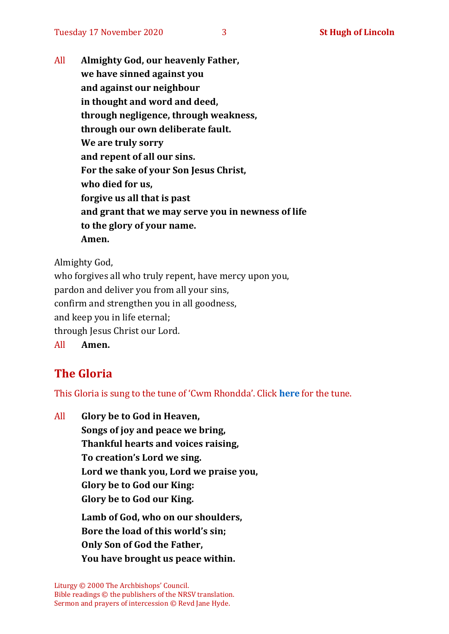All **Almighty God, our heavenly Father, we have sinned against you and against our neighbour in thought and word and deed, through negligence, through weakness, through our own deliberate fault. We are truly sorry and repent of all our sins. For the sake of your Son Jesus Christ, who died for us, forgive us all that is past and grant that we may serve you in newness of life to the glory of your name. Amen.**

Almighty God,

who forgives all who truly repent, have mercy upon you, pardon and deliver you from all your sins, confirm and strengthen you in all goodness, and keep you in life eternal; through Jesus Christ our Lord. All **Amen.**

# **The Gloria**

This Gloria is sung to the tune of 'Cwm Rhondda'. Click **[here](about:blank)** for the tune.

All **Glory be to God in Heaven, Songs of joy and peace we bring, Thankful hearts and voices raising, To creation's Lord we sing. Lord we thank you, Lord we praise you, Glory be to God our King: Glory be to God our King. Lamb of God, who on our shoulders, Bore the load of this world's sin; Only Son of God the Father, You have brought us peace within.**

Liturgy © 2000 The Archbishops' Council. Bible readings © the publishers of the NRSV translation. Sermon and prayers of intercession © Revd Jane Hyde.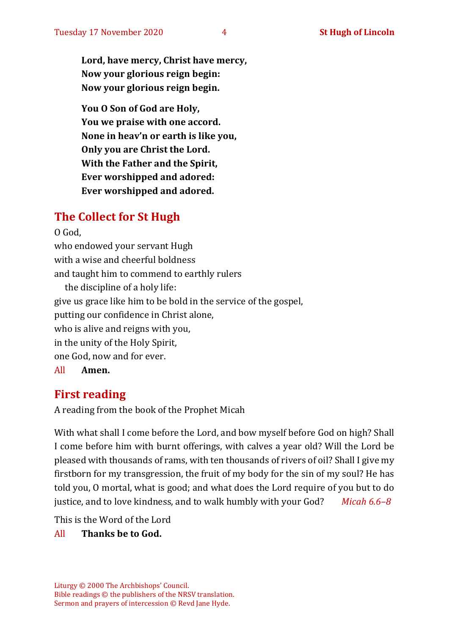**Lord, have mercy, Christ have mercy, Now your glorious reign begin: Now your glorious reign begin.**

**You O Son of God are Holy, You we praise with one accord. None in heav'n or earth is like you, Only you are Christ the Lord. With the Father and the Spirit, Ever worshipped and adored: Ever worshipped and adored.**

# **The Collect for St Hugh**

O God, who endowed your servant Hugh with a wise and cheerful boldness and taught him to commend to earthly rulers the discipline of a holy life: give us grace like him to be bold in the service of the gospel, putting our confidence in Christ alone, who is alive and reigns with you,

in the unity of the Holy Spirit, one God, now and for ever.

All **Amen.**

# **First reading**

A reading from the book of the Prophet Micah

With what shall I come before the Lord, and bow myself before God on high? Shall I come before him with burnt offerings, with calves a year old? Will the Lord be pleased with thousands of rams, with ten thousands of rivers of oil? Shall I give my firstborn for my transgression, the fruit of my body for the sin of my soul? He has told you, O mortal, what is good; and what does the Lord require of you but to do justice, and to love kindness, and to walk humbly with your God? *Micah 6.6–8*

This is the Word of the Lord

#### All **Thanks be to God.**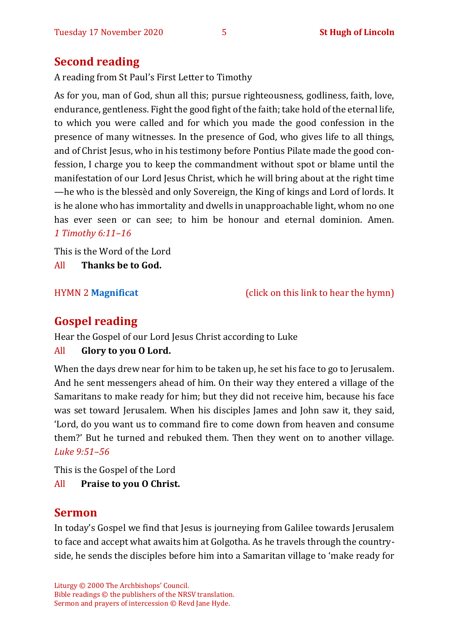# **Second reading**

A reading from St Paul's First Letter to Timothy

As for you, man of God, shun all this; pursue righteousness, godliness, faith, love, endurance, gentleness. Fight the good fight of the faith; take hold of the eternal life, to which you were called and for which you made the good confession in the presence of many witnesses. In the presence of God, who gives life to all things, and of Christ Jesus, who in his testimony before Pontius Pilate made the good confession, I charge you to keep the commandment without spot or blame until the manifestation of our Lord Jesus Christ, which he will bring about at the right time —he who is the blessèd and only Sovereign, the King of kings and Lord of lords. It is he alone who has immortality and dwells in unapproachable light, whom no one has ever seen or can see; to him be honour and eternal dominion. Amen. *1 Timothy 6:11–16*

This is the Word of the Lord All **Thanks be to God.**

HYMN 2 **[Magnificat](https://www.youtube.com/watch?v=SLUZM3nJ4sg)** (click on this link to hear the hymn)

# **Gospel reading**

Hear the Gospel of our Lord Jesus Christ according to Luke

#### All **Glory to you O Lord.**

When the days drew near for him to be taken up, he set his face to go to Jerusalem. And he sent messengers ahead of him. On their way they entered a village of the Samaritans to make ready for him; but they did not receive him, because his face was set toward Jerusalem. When his disciples James and John saw it, they said, 'Lord, do you want us to command fire to come down from heaven and consume them?' But he turned and rebuked them. Then they went on to another village. *Luke 9:51–56*

This is the Gospel of the Lord

All **Praise to you O Christ.** 

# **Sermon**

In today's Gospel we find that Jesus is journeying from Galilee towards Jerusalem to face and accept what awaits him at Golgotha. As he travels through the countryside, he sends the disciples before him into a Samaritan village to 'make ready for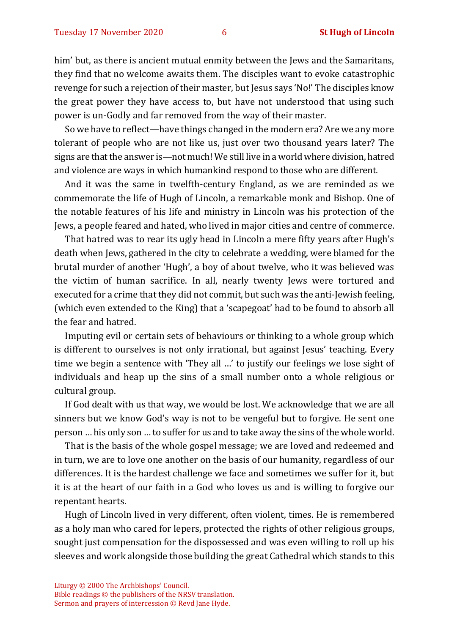him' but, as there is ancient mutual enmity between the Jews and the Samaritans, they find that no welcome awaits them. The disciples want to evoke catastrophic revenge for such a rejection of their master, but Jesus says 'No!' The disciples know the great power they have access to, but have not understood that using such power is un-Godly and far removed from the way of their master.

So we have to reflect—have things changed in the modern era? Are we any more tolerant of people who are not like us, just over two thousand years later? The signs are that the answer is—not much! We still live in a world where division, hatred and violence are ways in which humankind respond to those who are different.

And it was the same in twelfth-century England, as we are reminded as we commemorate the life of Hugh of Lincoln, a remarkable monk and Bishop. One of the notable features of his life and ministry in Lincoln was his protection of the Jews, a people feared and hated, who lived in major cities and centre of commerce.

That hatred was to rear its ugly head in Lincoln a mere fifty years after Hugh's death when Jews, gathered in the city to celebrate a wedding, were blamed for the brutal murder of another 'Hugh', a boy of about twelve, who it was believed was the victim of human sacrifice. In all, nearly twenty Jews were tortured and executed for a crime that they did not commit, but such was the anti-Jewish feeling, (which even extended to the King) that a 'scapegoat' had to be found to absorb all the fear and hatred.

Imputing evil or certain sets of behaviours or thinking to a whole group which is different to ourselves is not only irrational, but against Jesus' teaching. Every time we begin a sentence with 'They all …' to justify our feelings we lose sight of individuals and heap up the sins of a small number onto a whole religious or cultural group.

If God dealt with us that way, we would be lost. We acknowledge that we are all sinners but we know God's way is not to be vengeful but to forgive. He sent one person … his only son … to suffer for us and to take away the sins of the whole world.

That is the basis of the whole gospel message; we are loved and redeemed and in turn, we are to love one another on the basis of our humanity, regardless of our differences. It is the hardest challenge we face and sometimes we suffer for it, but it is at the heart of our faith in a God who loves us and is willing to forgive our repentant hearts.

Hugh of Lincoln lived in very different, often violent, times. He is remembered as a holy man who cared for lepers, protected the rights of other religious groups, sought just compensation for the dispossessed and was even willing to roll up his sleeves and work alongside those building the great Cathedral which stands to this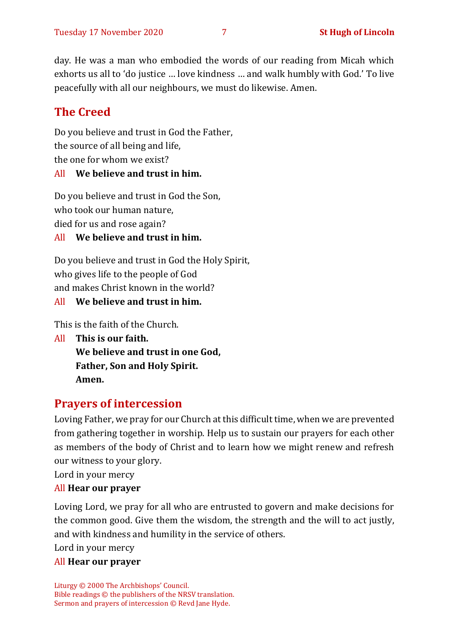day. He was a man who embodied the words of our reading from Micah which exhorts us all to 'do justice … love kindness … and walk humbly with God.' To live peacefully with all our neighbours, we must do likewise. Amen.

# **The Creed**

Do you believe and trust in God the Father, the source of all being and life, the one for whom we exist?

#### All **We believe and trust in him.**

Do you believe and trust in God the Son, who took our human nature, died for us and rose again?

#### All **We believe and trust in him.**

Do you believe and trust in God the Holy Spirit, who gives life to the people of God and makes Christ known in the world?

### All **We believe and trust in him.**

This is the faith of the Church.

All **This is our faith. We believe and trust in one God, Father, Son and Holy Spirit. Amen.**

# **Prayers of intercession**

Loving Father, we pray for our Church at this difficult time, when we are prevented from gathering together in worship. Help us to sustain our prayers for each other as members of the body of Christ and to learn how we might renew and refresh our witness to your glory.

Lord in your mercy

#### All **Hear our prayer**

Loving Lord, we pray for all who are entrusted to govern and make decisions for the common good. Give them the wisdom, the strength and the will to act justly, and with kindness and humility in the service of others.

Lord in your mercy

#### All **Hear our prayer**

Liturgy © 2000 The Archbishops' Council. Bible readings © the publishers of the NRSV translation. Sermon and prayers of intercession © Revd Jane Hyde.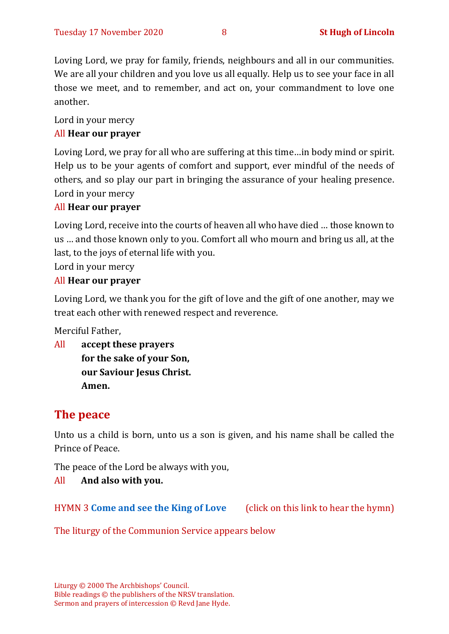Loving Lord, we pray for family, friends, neighbours and all in our communities. We are all your children and you love us all equally. Help us to see your face in all those we meet, and to remember, and act on, your commandment to love one another.

Lord in your mercy

#### All **Hear our prayer**

Loving Lord, we pray for all who are suffering at this time…in body mind or spirit. Help us to be your agents of comfort and support, ever mindful of the needs of others, and so play our part in bringing the assurance of your healing presence. Lord in your mercy

#### All **Hear our prayer**

Loving Lord, receive into the courts of heaven all who have died … those known to us … and those known only to you. Comfort all who mourn and bring us all, at the last, to the joys of eternal life with you.

Lord in your mercy

#### All **Hear our prayer**

Loving Lord, we thank you for the gift of love and the gift of one another, may we treat each other with renewed respect and reverence.

Merciful Father,

All **accept these prayers for the sake of your Son, our Saviour Jesus Christ. Amen.**

## **The peace**

Unto us a child is born, unto us a son is given, and his name shall be called the Prince of Peace.

The peace of the Lord be always with you,

#### All **And also with you.**

HYMN 3 **[Come and see the King of Love](https://www.youtube.com/watch?v=Vz9rgVEm2WY)** (click on this link to hear the hymn)

The liturgy of the Communion Service appears below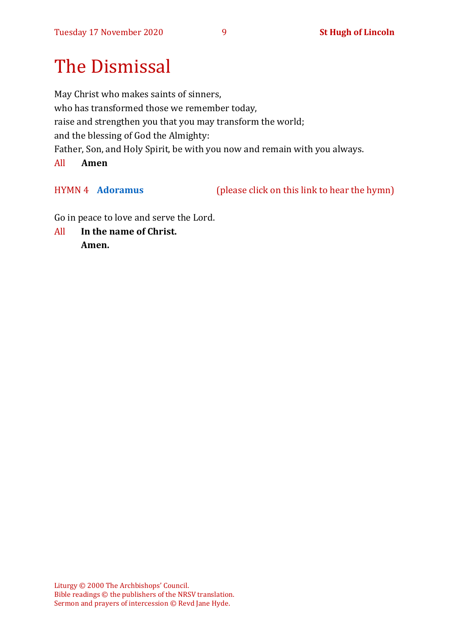# The Dismissal

May Christ who makes saints of sinners, who has transformed those we remember today, raise and strengthen you that you may transform the world; and the blessing of God the Almighty: Father, Son, and Holy Spirit, be with you now and remain with you always. All **Amen** 

HYMN 4 **[Adoramus](https://www.youtube.com/watch?v=CxMoxNVMIXE)** (please click on this link to hear the hymn)

Go in peace to love and serve the Lord.

All **In the name of Christ. Amen.**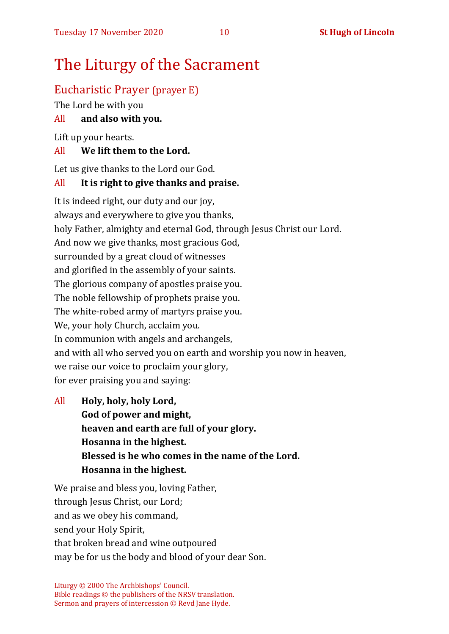# The Liturgy of the Sacrament

# Eucharistic Prayer (prayer E)

The Lord be with you

### All **and also with you.**

Lift up your hearts.

#### All **We lift them to the Lord.**

Let us give thanks to the Lord our God.

#### All **It is right to give thanks and praise.**

It is indeed right, our duty and our joy, always and everywhere to give you thanks, holy Father, almighty and eternal God, through Jesus Christ our Lord. And now we give thanks, most gracious God, surrounded by a great cloud of witnesses and glorified in the assembly of your saints. The glorious company of apostles praise you. The noble fellowship of prophets praise you. The white-robed army of martyrs praise you. We, your holy Church, acclaim you. In communion with angels and archangels, and with all who served you on earth and worship you now in heaven, we raise our voice to proclaim your glory, for ever praising you and saying:

All **Holy, holy, holy Lord, God of power and might, heaven and earth are full of your glory. Hosanna in the highest. Blessed is he who comes in the name of the Lord. Hosanna in the highest.**

We praise and bless you, loving Father, through Jesus Christ, our Lord; and as we obey his command, send your Holy Spirit, that broken bread and wine outpoured may be for us the body and blood of your dear Son.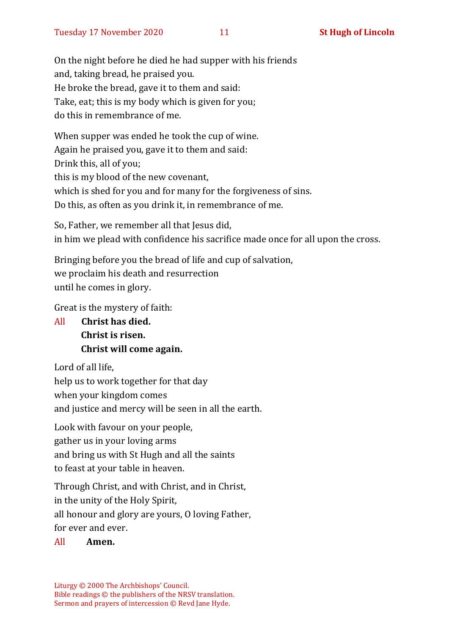On the night before he died he had supper with his friends and, taking bread, he praised you. He broke the bread, gave it to them and said: Take, eat; this is my body which is given for you; do this in remembrance of me.

When supper was ended he took the cup of wine. Again he praised you, gave it to them and said: Drink this, all of you; this is my blood of the new covenant, which is shed for you and for many for the forgiveness of sins. Do this, as often as you drink it, in remembrance of me.

So, Father, we remember all that Jesus did, in him we plead with confidence his sacrifice made once for all upon the cross.

Bringing before you the bread of life and cup of salvation, we proclaim his death and resurrection until he comes in glory.

Great is the mystery of faith:

All **Christ has died. Christ is risen. Christ will come again.**

Lord of all life, help us to work together for that day when your kingdom comes and justice and mercy will be seen in all the earth.

Look with favour on your people, gather us in your loving arms and bring us with St Hugh and all the saints to feast at your table in heaven.

Through Christ, and with Christ, and in Christ, in the unity of the Holy Spirit, all honour and glory are yours, O loving Father, for ever and ever.

All **Amen.**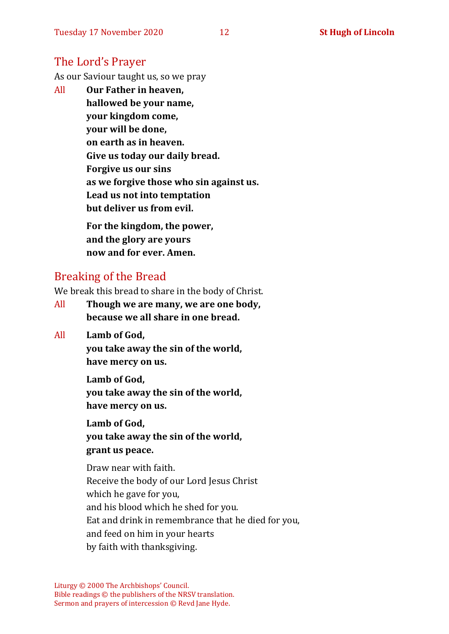# The Lord's Prayer

As our Saviour taught us, so we pray

All **Our Father in heaven, hallowed be your name, your kingdom come, your will be done, on earth as in heaven. Give us today our daily bread. Forgive us our sins as we forgive those who sin against us. Lead us not into temptation but deliver us from evil. For the kingdom, the power, and the glory are yours**

Breaking of the Bread

We break this bread to share in the body of Christ.

**now and for ever. Amen.**

- All **Though we are many, we are one body, because we all share in one bread.**
- All **Lamb of God,**

**you take away the sin of the world, have mercy on us.**

**Lamb of God, you take away the sin of the world, have mercy on us.**

**Lamb of God, you take away the sin of the world, grant us peace.**

Draw near with faith. Receive the body of our Lord Jesus Christ which he gave for you, and his blood which he shed for you. Eat and drink in remembrance that he died for you, and feed on him in your hearts by faith with thanksgiving.